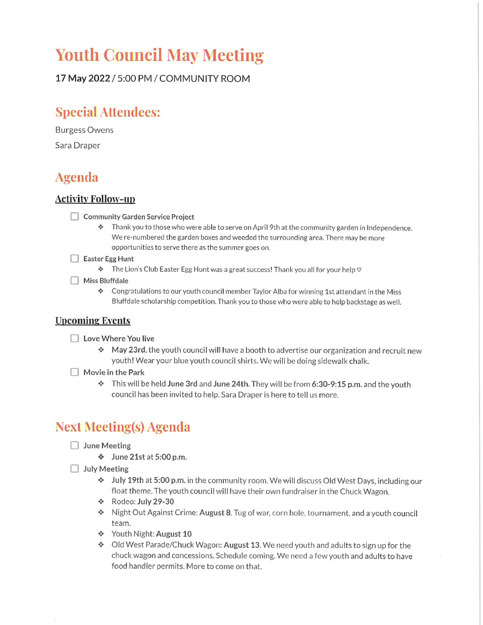# **Youth Council May Meeting**

17 May 2022 / 5:00 PM / COMMUNITY ROOM

### **Special Attendees:**

**Burgess Owens** Sara Draper

### **Agenda**

#### **Activity Follow-up**

- Community Garden Service Project
	- → Thank you to those who were able to serve on April 9th at the community garden in Independence. We re-numbered the garden boxes and weeded the surrounding area. There may be more opportunities to serve there as the summer goes on.
- Easter Egg Hunt
	- \* The Lion's Club Easter Egg Hunt was a great success! Thank you all for your help  $\circ$
- $\Box$  Miss Bluffdale
	- \* Congratulations to our youth council member Taylor Alba for winning 1st attendant in the Miss Bluffdale scholarship competition. Thank you to those who were able to help backstage as well.

#### **Upcoming Events**

- □ Love Where You live
	- \* May 23rd, the youth council will have a booth to advertise our organization and recruit new youth! Wear your blue youth council shirts. We will be doing sidewalk chalk.
- $\Box$  Movie in the Park
	- $\cdot$  This will be held June 3rd and June 24th. They will be from 6:30-9:15 p.m. and the youth council has been invited to help. Sara Draper is here to tell us more.

## **Next Meeting(s) Agenda**

- $\Box$  June Meeting
	- ♦ June 21st at 5:00 p.m.
- $\Box$  July Meeting
	- \* July 19th at 5:00 p.m. in the community room. We will discuss Old West Days, including our float theme. The youth council will have their own fundraiser in the Chuck Wagon.
	- Nodeo: July 29-30
	- \* Night Out Against Crime: August 8. Tug of war, corn hole, tournament, and a youth council team.
	- ❖ Youth Night: August 10
	- $\bullet$  Old West Parade/Chuck Wagon: August 13. We need youth and adults to sign up for the chuck wagon and concessions. Schedule coming. We need a few youth and adults to have food handler permits. More to come on that.